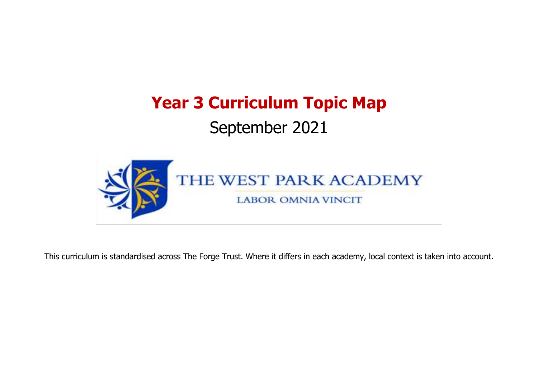# **Year 3 Curriculum Topic Map** September 2021



This curriculum is standardised across The Forge Trust. Where it differs in each academy, local context is taken into account.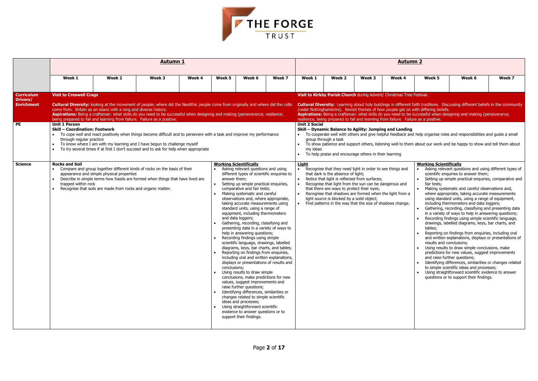|           | <b>Working Scientifically</b>                                                                                                                                                                       |
|-----------|-----------------------------------------------------------------------------------------------------------------------------------------------------------------------------------------------------|
| d         | Asking relevant questions and using different types of<br>scientific enquiries to answer them;                                                                                                      |
|           | Setting up simple practical enquiries, comparative and<br>fair tests;                                                                                                                               |
| ı a<br>e. | Making systematic and careful observations and,<br>where appropriate, taking accurate measurements<br>using standard units, using a range of equipment,<br>including thermometers and data loggers; |
|           | Gathering, recording, classifying and presenting data<br>in a variety of ways to help in answering questions;                                                                                       |
|           | Recording findings using simple scientific language,<br>drawings, labelled diagrams, keys, bar charts, and<br>tables;                                                                               |
|           | Reporting on findings from enquiries, including oral<br>and written explanations, displays or presentations of<br>results and conclusions;                                                          |
|           | Using results to draw simple conclusions, make<br>predictions for new values, suggest improvements<br>and raise further questions;                                                                  |
|           | Identifying differences, similarities or changes related<br>to simple scientific ideas and processes;                                                                                               |
|           | Using straightforward scientific evidence to answer<br>questions or to support their findings.                                                                                                      |
|           |                                                                                                                                                                                                     |
|           |                                                                                                                                                                                                     |
|           |                                                                                                                                                                                                     |
|           |                                                                                                                                                                                                     |



|                                                                 |                                                                                                                             |                                                                                                                                                                                                                                                                                                                                                                                                                                                                                                                                                                                                                                                                                                                           | <u>Autumn 1</u> |        |                                           |                                                                                                                                                                                                                                                                                                                                                                                                                                                                                                                                                                                                                                                                                                                                                                                                                                                                                                                                                                                                                                                                                                                                                  |        |                                  |                                                                                                                                                                                                                                                                                                                                                                                                                                |        | <b>Autumn 2</b>                                                                                                                                                                                                          |                                                                                                  |                                                                                                                                                                                                                                                                                                                                                                                                                                                                                                                                                                                                                                                                                                                                                                                                                                                                                                                                                                                                                                                                       |        |
|-----------------------------------------------------------------|-----------------------------------------------------------------------------------------------------------------------------|---------------------------------------------------------------------------------------------------------------------------------------------------------------------------------------------------------------------------------------------------------------------------------------------------------------------------------------------------------------------------------------------------------------------------------------------------------------------------------------------------------------------------------------------------------------------------------------------------------------------------------------------------------------------------------------------------------------------------|-----------------|--------|-------------------------------------------|--------------------------------------------------------------------------------------------------------------------------------------------------------------------------------------------------------------------------------------------------------------------------------------------------------------------------------------------------------------------------------------------------------------------------------------------------------------------------------------------------------------------------------------------------------------------------------------------------------------------------------------------------------------------------------------------------------------------------------------------------------------------------------------------------------------------------------------------------------------------------------------------------------------------------------------------------------------------------------------------------------------------------------------------------------------------------------------------------------------------------------------------------|--------|----------------------------------|--------------------------------------------------------------------------------------------------------------------------------------------------------------------------------------------------------------------------------------------------------------------------------------------------------------------------------------------------------------------------------------------------------------------------------|--------|--------------------------------------------------------------------------------------------------------------------------------------------------------------------------------------------------------------------------|--------------------------------------------------------------------------------------------------|-----------------------------------------------------------------------------------------------------------------------------------------------------------------------------------------------------------------------------------------------------------------------------------------------------------------------------------------------------------------------------------------------------------------------------------------------------------------------------------------------------------------------------------------------------------------------------------------------------------------------------------------------------------------------------------------------------------------------------------------------------------------------------------------------------------------------------------------------------------------------------------------------------------------------------------------------------------------------------------------------------------------------------------------------------------------------|--------|
|                                                                 | Week 1                                                                                                                      | Week 2                                                                                                                                                                                                                                                                                                                                                                                                                                                                                                                                                                                                                                                                                                                    | Week 3          | Week 4 | Week 5                                    | Week 6                                                                                                                                                                                                                                                                                                                                                                                                                                                                                                                                                                                                                                                                                                                                                                                                                                                                                                                                                                                                                                                                                                                                           | Week 7 | Week 1                           | Week 2                                                                                                                                                                                                                                                                                                                                                                                                                         | Week 3 | Week 4                                                                                                                                                                                                                   | Week 5                                                                                           | Week 6                                                                                                                                                                                                                                                                                                                                                                                                                                                                                                                                                                                                                                                                                                                                                                                                                                                                                                                                                                                                                                                                | Week 7 |
| <b>Curriculum</b><br><b>Drivers/</b><br><b>Enrichment</b><br>PE | <b>Visit to Creswell Crags</b><br><b>Unit 1 Person</b><br><b>Skill - Coordination: Footwork</b><br>through regular practice | <b>Cultural Diversity:</b> looking at the movement of people; where did the Neolithic people come from originally and where did the celts<br>come from. Britain as an island with a long and diverse history.<br>Aspirations: Being a craftsman: what skills do you need to be successful when designing and making (perseverance, resilience,<br>being prepared to fail and learning from failure. Failure as a positive.<br>To cope well and react positively when things become difficult and to persevere with a task and improve my performance<br>To know where I am with my learning and I have begun to challenge myself<br>To try several times if at first I don't succeed and to ask for help when appropriate |                 |        |                                           |                                                                                                                                                                                                                                                                                                                                                                                                                                                                                                                                                                                                                                                                                                                                                                                                                                                                                                                                                                                                                                                                                                                                                  |        | <b>Unit 2 Social</b><br>my ideas | group through a task<br>To help praise and encourage others in their learning                                                                                                                                                                                                                                                                                                                                                  |        | Visit to Kirkby Parish Church during Advent/ Christmas Tree Festival.<br>resilience, being prepared to fail and learning from failure. Failure as a positive.<br>Skill - Dynamic Balance to Agility: Jumping and Landing | (wider Nottinghamshire). Revisit themes of how people get on with differing beliefs.             | <b>Cultural Diversity:</b> Learning about holy buildings in different faith traditions. Discussing different beliefs in the community<br>Aspirations: Being a craftsman: what skills do you need to be successful when designing and making (perseverance,<br>To cooperate well with others and give helpful feedback and help organise roles and responsibilities and guide a small<br>To show patience and support others, listening well to them about our work and be happy to show and tell them about                                                                                                                                                                                                                                                                                                                                                                                                                                                                                                                                                           |        |
| <b>Science</b>                                                  | <b>Rocks and Soil</b><br>trapped within rock                                                                                | Compare and group together different kinds of rocks on the basis of their<br>appearance and simple physical properties<br>Describe in simple terms how fossils are formed when things that have lived are<br>Recognise that soils are made from rocks and organic matter.                                                                                                                                                                                                                                                                                                                                                                                                                                                 |                 |        | $\bullet$<br>answer them;<br>conclusions; | <b>Working Scientifically</b><br>Asking relevant questions and using<br>different types of scientific enquiries to<br>Setting up simple practical enquiries,<br>comparative and fair tests;<br>Making systematic and careful<br>observations and, where appropriate,<br>taking accurate measurements using<br>standard units, using a range of<br>equipment, including thermometers<br>and data loggers;<br>Gathering, recording, classifying and<br>presenting data in a variety of ways to<br>help in answering questions;<br>Recording findings using simple<br>scientific language, drawings, labelled<br>diagrams, keys, bar charts, and tables;<br>Reporting on findings from enquiries,<br>including oral and written explanations,<br>displays or presentations of results and<br>Using results to draw simple<br>conclusions, make predictions for new<br>values, suggest improvements and<br>raise further questions;<br>Identifying differences, similarities or<br>changes related to simple scientific<br>ideas and processes;<br>Using straightforward scientific<br>evidence to answer questions or to<br>support their findings. |        | <b>Light</b>                     | Recognise that they need light in order to see things and<br>that dark is the absence of light;<br>Notice that light is reflected from surfaces;<br>Recognise that light from the sun can be dangerous and<br>that there are ways to protect their eyes;<br>Recognise that shadows are formed when the light from a<br>light source is blocked by a solid object;<br>Find patterns in the way that the size of shadows change. |        |                                                                                                                                                                                                                          | <b>Working Scientifically</b><br>fair tests;<br>$\bullet$<br>tables;<br>results and conclusions; | Asking relevant questions and using different types of<br>scientific enquiries to answer them;<br>Setting up simple practical enquiries, comparative and<br>Making systematic and careful observations and,<br>where appropriate, taking accurate measurements<br>using standard units, using a range of equipment,<br>including thermometers and data loggers;<br>Gathering, recording, classifying and presenting data<br>in a variety of ways to help in answering questions;<br>Recording findings using simple scientific language,<br>drawings, labelled diagrams, keys, bar charts, and<br>Reporting on findings from enquiries, including oral<br>and written explanations, displays or presentations of<br>Using results to draw simple conclusions, make<br>predictions for new values, suggest improvements<br>and raise further questions;<br>• Identifying differences, similarities or changes related<br>to simple scientific ideas and processes;<br>• Using straightforward scientific evidence to answer<br>questions or to support their findings. |        |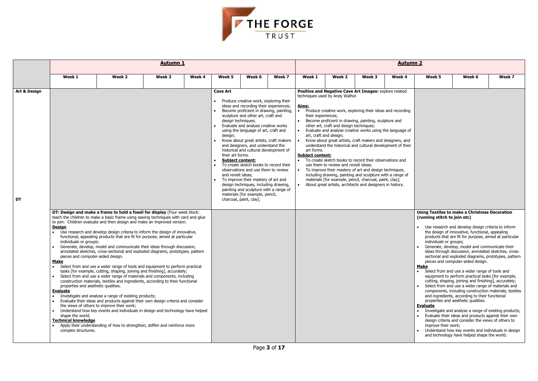

|                               |                                                                                                                                                       |                                                                                                                                                                                                                                                                                                                                                                                                                                                                                                                                                                                                                                                                                                                                                                                                                                                                                                            | <b>Autumn 1</b> |        |                                                                                                                       |                                                                                                                                                                                                                                                                                                                                                                                                                                                                                                                                                                                                                                                    |        |                                                                                   |                                                                                                                                                                                                                                                                                                                                                                                                                                                                                                                                                                                                                                                                                                                                                                                                                                  |        | <b>Autumn 2</b> |                                                                       |                                                                                                                                                                                                                                                                                                                                                                                                                                                                                                                                                                                                                                                                                                                   |        |
|-------------------------------|-------------------------------------------------------------------------------------------------------------------------------------------------------|------------------------------------------------------------------------------------------------------------------------------------------------------------------------------------------------------------------------------------------------------------------------------------------------------------------------------------------------------------------------------------------------------------------------------------------------------------------------------------------------------------------------------------------------------------------------------------------------------------------------------------------------------------------------------------------------------------------------------------------------------------------------------------------------------------------------------------------------------------------------------------------------------------|-----------------|--------|-----------------------------------------------------------------------------------------------------------------------|----------------------------------------------------------------------------------------------------------------------------------------------------------------------------------------------------------------------------------------------------------------------------------------------------------------------------------------------------------------------------------------------------------------------------------------------------------------------------------------------------------------------------------------------------------------------------------------------------------------------------------------------------|--------|-----------------------------------------------------------------------------------|----------------------------------------------------------------------------------------------------------------------------------------------------------------------------------------------------------------------------------------------------------------------------------------------------------------------------------------------------------------------------------------------------------------------------------------------------------------------------------------------------------------------------------------------------------------------------------------------------------------------------------------------------------------------------------------------------------------------------------------------------------------------------------------------------------------------------------|--------|-----------------|-----------------------------------------------------------------------|-------------------------------------------------------------------------------------------------------------------------------------------------------------------------------------------------------------------------------------------------------------------------------------------------------------------------------------------------------------------------------------------------------------------------------------------------------------------------------------------------------------------------------------------------------------------------------------------------------------------------------------------------------------------------------------------------------------------|--------|
|                               | Week 1                                                                                                                                                | Week 2                                                                                                                                                                                                                                                                                                                                                                                                                                                                                                                                                                                                                                                                                                                                                                                                                                                                                                     | Week 3          | Week 4 | Week 5                                                                                                                | Week 6                                                                                                                                                                                                                                                                                                                                                                                                                                                                                                                                                                                                                                             | Week 7 | Week 1                                                                            | Week 2                                                                                                                                                                                                                                                                                                                                                                                                                                                                                                                                                                                                                                                                                                                                                                                                                           | Week 3 | Week 4          | Week 5                                                                | Week 6                                                                                                                                                                                                                                                                                                                                                                                                                                                                                                                                                                                                                                                                                                            | Week 7 |
| <b>Art &amp; Design</b><br>DT | <b>Design</b><br>individuals or groups;<br>pieces and computer-aided design.<br><u>Make</u><br>properties and aesthetic qualities.<br><b>Evaluate</b> | DT: Design and make a frame to hold a fossil for display (Four week block:<br>teach the children to make a basic frame using sawing techniques with card and glue<br>to join. Children evaluate and then design and make an improved version.<br>Use research and develop design criteria to inform the design of innovative,<br>functional, appealing products that are fit for purpose, aimed at particular<br>Generate, develop, model and communicate their ideas through discussion,<br>annotated sketches, cross-sectional and exploded diagrams, prototypes, pattern<br>• Select from and use a wider range of tools and equipment to perform practical<br>tasks [for example, cutting, shaping, joining and finishing], accurately;<br>Select from and use a wider range of materials and components, including<br>construction materials, textiles and ingredients, according to their functional |                 |        | <b>Cave Art</b><br>design techniques;<br>design;<br>their art forms.<br><b>Subject content:</b><br>and revisit ideas; | Produce creative work, exploring their<br>ideas and recording their experiences;<br>Become proficient in drawing, painting,<br>sculpture and other art, craft and<br>Evaluate and analyse creative works<br>using the language of art, craft and<br>Know about great artists, craft makers<br>and designers, and understand the<br>historical and cultural development of<br>To create sketch books to record their<br>observations and use them to review<br>To improve their mastery of art and<br>design techniques, including drawing,<br>painting and sculpture with a range of<br>materials [for example, pencil,<br>charcoal, paint, clay]. |        | Aims:<br>their experiences;<br>art forms.<br><b>Subject content:</b><br>$\bullet$ | Positive and Negative Cave Art Images: explore related<br>techniques used by Andy Walhol<br>Produce creative work, exploring their ideas and recording<br>Become proficient in drawing, painting, sculpture and<br>other art, craft and design techniques;<br>Evaluate and analyse creative works using the language of<br>art, craft and design;<br>Know about great artists, craft makers and designers, and<br>understand the historical and cultural development of their<br>To create sketch books to record their observations and<br>use them to review and revisit ideas;<br>To improve their mastery of art and design techniques,<br>including drawing, painting and sculpture with a range of<br>materials [for example, pencil, charcoal, paint, clay];<br>About great artists, architects and designers in history. |        |                 | (running stitch to join etc)<br>individuals or groups;<br><u>Make</u> | <b>Using Textiles to make a Christmas Decoration</b><br>Use research and develop design criteria to inform<br>the design of innovative, functional, appealing<br>products that are fit for purpose, aimed at particular<br>Generate, develop, model and communicate their<br>ideas through discussion, annotated sketches, cross-<br>sectional and exploded diagrams, prototypes, pattern<br>pieces and computer-aided design.<br>• Select from and use a wider range of tools and<br>equipment to perform practical tasks [for example,<br>cutting, shaping, joining and finishing], accurately;<br>Select from and use a wider range of materials and<br>components, including construction materials, textiles |        |
|                               | shape the world.<br><b>Technical knowledge</b><br>complex structures.                                                                                 | Investigate and analyse a range of existing products;<br>Evaluate their ideas and products against their own design criteria and consider<br>the views of others to improve their work;<br>Understand how key events and individuals in design and technology have helped<br>Apply their understanding of how to strengthen, stiffen and reinforce more                                                                                                                                                                                                                                                                                                                                                                                                                                                                                                                                                    |                 |        |                                                                                                                       |                                                                                                                                                                                                                                                                                                                                                                                                                                                                                                                                                                                                                                                    |        |                                                                                   |                                                                                                                                                                                                                                                                                                                                                                                                                                                                                                                                                                                                                                                                                                                                                                                                                                  |        |                 | <b>Evaluate</b><br>improve their work;                                | and ingredients, according to their functional<br>properties and aesthetic qualities.<br>Investigate and analyse a range of existing products;<br>Evaluate their ideas and products against their own<br>design criteria and consider the views of others to<br>Understand how key events and individuals in design<br>and technology have helped shape the world.                                                                                                                                                                                                                                                                                                                                                |        |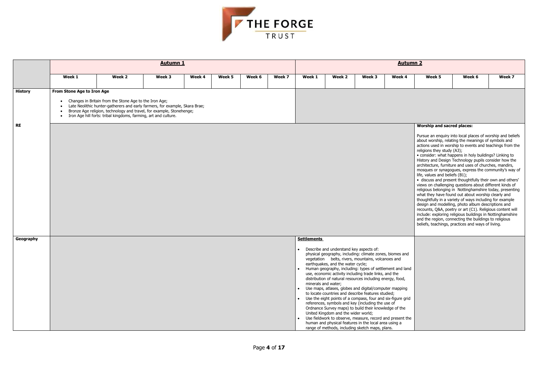

|                |                                                                                                                                                                                                                                                                                                                                                                                                                                                                                                                                                                                                                                                                                                                                                                                                                                                                                                                                                                                                                                                                                                                            |                                                                                                                                                                                                                                                                                      | <b>Autumn 1</b> |        |        |        |        | <b>Autumn 2</b>                           |                                                                                                                     |                                                                                                                                                                                                                                                                                                                                                                                                                                                                                                                                                                                                                                                                                                                                                                          |        |        |        |        |
|----------------|----------------------------------------------------------------------------------------------------------------------------------------------------------------------------------------------------------------------------------------------------------------------------------------------------------------------------------------------------------------------------------------------------------------------------------------------------------------------------------------------------------------------------------------------------------------------------------------------------------------------------------------------------------------------------------------------------------------------------------------------------------------------------------------------------------------------------------------------------------------------------------------------------------------------------------------------------------------------------------------------------------------------------------------------------------------------------------------------------------------------------|--------------------------------------------------------------------------------------------------------------------------------------------------------------------------------------------------------------------------------------------------------------------------------------|-----------------|--------|--------|--------|--------|-------------------------------------------|---------------------------------------------------------------------------------------------------------------------|--------------------------------------------------------------------------------------------------------------------------------------------------------------------------------------------------------------------------------------------------------------------------------------------------------------------------------------------------------------------------------------------------------------------------------------------------------------------------------------------------------------------------------------------------------------------------------------------------------------------------------------------------------------------------------------------------------------------------------------------------------------------------|--------|--------|--------|--------|
|                | Week 1                                                                                                                                                                                                                                                                                                                                                                                                                                                                                                                                                                                                                                                                                                                                                                                                                                                                                                                                                                                                                                                                                                                     | Week 2                                                                                                                                                                                                                                                                               | Week 3          | Week 4 | Week 5 | Week 6 | Week 7 | Week 1                                    | Week 2                                                                                                              | Week 3                                                                                                                                                                                                                                                                                                                                                                                                                                                                                                                                                                                                                                                                                                                                                                   | Week 4 | Week 5 | Week 6 | Week 7 |
| <b>History</b> | From Stone Age to Iron Age<br>$\bullet$                                                                                                                                                                                                                                                                                                                                                                                                                                                                                                                                                                                                                                                                                                                                                                                                                                                                                                                                                                                                                                                                                    | • Changes in Britain from the Stone Age to the Iron Age;<br>• Late Neolithic hunter-gatherers and early farmers, for example, Skara Brae;<br>Bronze Age religion, technology and travel, for example, Stonehenge;<br>Iron Age hill forts: tribal kingdoms, farming, art and culture. |                 |        |        |        |        |                                           |                                                                                                                     |                                                                                                                                                                                                                                                                                                                                                                                                                                                                                                                                                                                                                                                                                                                                                                          |        |        |        |        |
| <b>RE</b>      | <b>Worship and sacred places:</b><br>Pursue an enquiry into local places of worship and beliefs<br>about worship, relating the meanings of symbols and<br>actions used in worship to events and teachings from the<br>religions they study (A3);<br>· consider: what happens in holy buildings? Linking to<br>History and Design Technology pupils consider how the<br>architecture, furniture and uses of churches, mandirs,<br>mosques or synagogues, express the community's way of<br>life, values and beliefs (B1);<br>• discuss and present thoughtfully their own and others'<br>views on challenging questions about different kinds of<br>religious belonging in Nottinghamshire today, presenting<br>what they have found out about worship clearly and<br>thoughtfully in a variety of ways including for example<br>design and modelling, photo album descriptions and<br>recounts, Q&A, poetry or art (C1). Religious content will<br>include: exploring religious buildings in Nottinghamshire<br>and the region, connecting the buildings to religious<br>beliefs, teachings, practices and ways of living. |                                                                                                                                                                                                                                                                                      |                 |        |        |        |        |                                           |                                                                                                                     |                                                                                                                                                                                                                                                                                                                                                                                                                                                                                                                                                                                                                                                                                                                                                                          |        |        |        |        |
| Geography      |                                                                                                                                                                                                                                                                                                                                                                                                                                                                                                                                                                                                                                                                                                                                                                                                                                                                                                                                                                                                                                                                                                                            |                                                                                                                                                                                                                                                                                      |                 |        |        |        |        | <b>Settlements</b><br>minerals and water; | Describe and understand key aspects of:<br>earthquakes, and the water cycle;<br>United Kingdom and the wider world; | physical geography, including: climate zones, biomes and<br>vegetation belts, rivers, mountains, volcanoes and<br>Human geography, including: types of settlement and land<br>use, economic activity including trade links, and the<br>distribution of natural resources including energy, food,<br>Use maps, atlases, globes and digital/computer mapping<br>to locate countries and describe features studied;<br>• Use the eight points of a compass, four and six-figure grid<br>references, symbols and key (including the use of<br>Ordnance Survey maps) to build their knowledge of the<br>Use fieldwork to observe, measure, record and present the<br>human and physical features in the local area using a<br>range of methods, including sketch maps, plans. |        |        |        |        |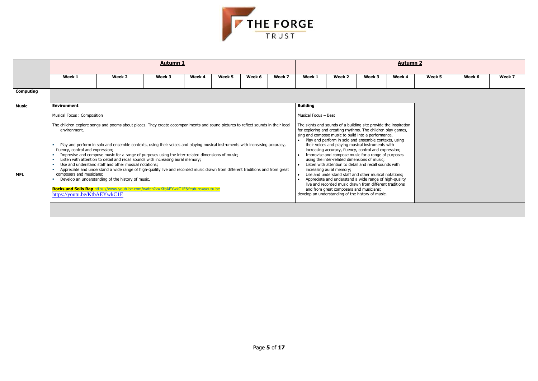

|                  |                                                                                                              |                                                                                                                                                                                                                                                                                                                                                                                                                                                                                                                                                                                                                                                                                                                                                                                             | <b>Autumn 1</b> |        |        |        |        | <b>Autumn 2</b>                     |                                                                                                                                                                                                                                                                                                                                                                                                                                                                                                                                                                                                                                                                                                                                                                                                                                           |        |        |        |        |        |  |
|------------------|--------------------------------------------------------------------------------------------------------------|---------------------------------------------------------------------------------------------------------------------------------------------------------------------------------------------------------------------------------------------------------------------------------------------------------------------------------------------------------------------------------------------------------------------------------------------------------------------------------------------------------------------------------------------------------------------------------------------------------------------------------------------------------------------------------------------------------------------------------------------------------------------------------------------|-----------------|--------|--------|--------|--------|-------------------------------------|-------------------------------------------------------------------------------------------------------------------------------------------------------------------------------------------------------------------------------------------------------------------------------------------------------------------------------------------------------------------------------------------------------------------------------------------------------------------------------------------------------------------------------------------------------------------------------------------------------------------------------------------------------------------------------------------------------------------------------------------------------------------------------------------------------------------------------------------|--------|--------|--------|--------|--------|--|
|                  | Week 1                                                                                                       | Week 2                                                                                                                                                                                                                                                                                                                                                                                                                                                                                                                                                                                                                                                                                                                                                                                      | Week 3          | Week 4 | Week 5 | Week 6 | Week 7 | Week 1                              | Week 2                                                                                                                                                                                                                                                                                                                                                                                                                                                                                                                                                                                                                                                                                                                                                                                                                                    | Week 3 | Week 4 | Week 5 | Week 6 | Week 7 |  |
| <b>Computing</b> |                                                                                                              |                                                                                                                                                                                                                                                                                                                                                                                                                                                                                                                                                                                                                                                                                                                                                                                             |                 |        |        |        |        |                                     |                                                                                                                                                                                                                                                                                                                                                                                                                                                                                                                                                                                                                                                                                                                                                                                                                                           |        |        |        |        |        |  |
| <b>Music</b>     | <b>Environment</b>                                                                                           |                                                                                                                                                                                                                                                                                                                                                                                                                                                                                                                                                                                                                                                                                                                                                                                             |                 |        |        |        |        | <b>Building</b>                     |                                                                                                                                                                                                                                                                                                                                                                                                                                                                                                                                                                                                                                                                                                                                                                                                                                           |        |        |        |        |        |  |
|                  | Musical Focus: Composition                                                                                   |                                                                                                                                                                                                                                                                                                                                                                                                                                                                                                                                                                                                                                                                                                                                                                                             |                 |        |        |        |        | Musical Focus - Beat                |                                                                                                                                                                                                                                                                                                                                                                                                                                                                                                                                                                                                                                                                                                                                                                                                                                           |        |        |        |        |        |  |
| <b>MFL</b>       | environment.<br>fluency, control and expression;<br>composers and musicians;<br>https://youtu.be/KtbAEYwkC1E | The children explore songs and poems about places. They create accompaniments and sound pictures to reflect sounds in their local<br>Play and perform in solo and ensemble contexts, using their voices and playing musical instruments with increasing accuracy,<br>Improvise and compose music for a range of purposes using the inter-related dimensions of music;<br>Listen with attention to detail and recall sounds with increasing aural memory;<br>Use and understand staff and other musical notations;<br>Appreciate and understand a wide range of high-quality live and recorded music drawn from different traditions and from great<br>Develop an understanding of the history of music.<br>Rocks and Soils Rap https://www.youtube.com/watch?v=KtbAEYwkC1E&feature=youtu.be |                 |        |        |        |        | $\bullet$<br>$\bullet$<br>$\bullet$ | The sights and sounds of a building site provide the inspiration<br>for exploring and creating rhythms. The children play games,<br>sing and compose music to build into a performance.<br>Play and perform in solo and ensemble contexts, using<br>their voices and playing musical instruments with<br>increasing accuracy, fluency, control and expression;<br>Improvise and compose music for a range of purposes<br>using the inter-related dimensions of music;<br>Listen with attention to detail and recall sounds with<br>increasing aural memory;<br>Use and understand staff and other musical notations;<br>Appreciate and understand a wide range of high-quality<br>live and recorded music drawn from different traditions<br>and from great composers and musicians;<br>develop an understanding of the history of music. |        |        |        |        |        |  |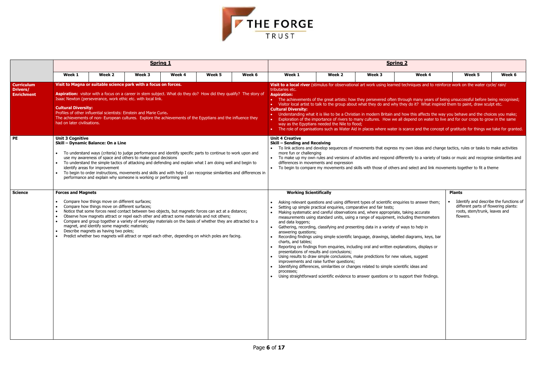

|                                                           |                                                           |                                                                                                                                                                                                                                                                                                                                                                                                                                                                                                                                                                                                                      | <b>Spring 1</b> |        |        |        |                                                                                                                                                                                                                                                               |                                                | <b>Spring 2</b>                                                                                                                                                                                                                                                                                                                                                                                                                                                                                                                                                                                                                                                                                                          |                                                                                                                                                                                                                                                                                                                                                                                                              |                                                                                                                                                                                                                                                                                                                                                                                                                                                                                                                                                                                                                                                                                                       |        |  |
|-----------------------------------------------------------|-----------------------------------------------------------|----------------------------------------------------------------------------------------------------------------------------------------------------------------------------------------------------------------------------------------------------------------------------------------------------------------------------------------------------------------------------------------------------------------------------------------------------------------------------------------------------------------------------------------------------------------------------------------------------------------------|-----------------|--------|--------|--------|---------------------------------------------------------------------------------------------------------------------------------------------------------------------------------------------------------------------------------------------------------------|------------------------------------------------|--------------------------------------------------------------------------------------------------------------------------------------------------------------------------------------------------------------------------------------------------------------------------------------------------------------------------------------------------------------------------------------------------------------------------------------------------------------------------------------------------------------------------------------------------------------------------------------------------------------------------------------------------------------------------------------------------------------------------|--------------------------------------------------------------------------------------------------------------------------------------------------------------------------------------------------------------------------------------------------------------------------------------------------------------------------------------------------------------------------------------------------------------|-------------------------------------------------------------------------------------------------------------------------------------------------------------------------------------------------------------------------------------------------------------------------------------------------------------------------------------------------------------------------------------------------------------------------------------------------------------------------------------------------------------------------------------------------------------------------------------------------------------------------------------------------------------------------------------------------------|--------|--|
|                                                           | Week 1                                                    | Week 2                                                                                                                                                                                                                                                                                                                                                                                                                                                                                                                                                                                                               | Week 3          | Week 4 | Week 5 | Week 6 | Week 1                                                                                                                                                                                                                                                        | Week 2                                         | Week 3                                                                                                                                                                                                                                                                                                                                                                                                                                                                                                                                                                                                                                                                                                                   | Week 4                                                                                                                                                                                                                                                                                                                                                                                                       | Week 5                                                                                                                                                                                                                                                                                                                                                                                                                                                                                                                                                                                                                                                                                                | Week 6 |  |
| <b>Curriculum</b><br><b>Drivers/</b><br><b>Enrichment</b> | <b>Cultural Diversity:</b><br>had on later civilisations. | Visit to Magna or suitable science park with a focus on forces.<br>Aspiration: visitor with a focus on a career in stem subject. What do they do? How did they qualify? The story of<br>Isaac Newton (perseverance, work ethic etc. with local link.<br>Profiles of other influential scientists: Einstein and Marie Curie.<br>The achievements of non- European cultures. Explore the achievements of the Egyptians and the influence they                                                                                                                                                                          |                 |        |        |        | tributaries etc.<br><b>Aspiration:</b><br><b>Cultural Diversity:</b>                                                                                                                                                                                          | way as the Egyptians needed the Nile to flood; |                                                                                                                                                                                                                                                                                                                                                                                                                                                                                                                                                                                                                                                                                                                          | Visit to a local river (stimulus for observational art work using learned techniques and to reinforce work on the water cycle/rain/                                                                                                                                                                                                                                                                          | • The achievements of the great artists: how they persevered often through many years of being unsuccessful before being recognised;<br>• Visitor local artist to talk to the group about what they do and why they do it? What inspired them to paint, draw sculpt etc.<br>• Understanding what it is like to be a Christian in modern Britain and how this affects the way you behave and the choices you make;<br>Exploration of the importance of rivers to many cultures. How we all depend on water to live and for our crops to grow in the same<br>• The role of organisations such as Water Aid in places where water is scarce and the concept of gratitude for things we take for granted. |        |  |
| <b>PE</b>                                                 | <b>Unit 3 Cognitive</b>                                   | Skill - Dynamic Balance: On a Line<br>To understand ways (criteria) to judge performance and identify specific parts to continue to work upon and<br>use my awareness of space and others to make good decisions<br>To understand the simple tactics of attacking and defending and explain what I am doing well and begin to<br>identify areas for improvement<br>To begin to order instructions, movements and skills and with help I can recognise similarities and differences in<br>performance and explain why someone is working or performing well                                                           |                 |        |        |        | <b>Unit 4 Creative</b><br><b>Skill - Sending and Receiving</b><br>more fun or challenging                                                                                                                                                                     | differences in movements and expression        |                                                                                                                                                                                                                                                                                                                                                                                                                                                                                                                                                                                                                                                                                                                          | • To link actions and develop sequences of movements that express my own ideas and change tactics, rules or tasks to make activities<br>To make up my own rules and versions of activities and respond differently to a variety of tasks or music and recognise similarities and<br>• To begin to compare my movements and skills with those of others and select and link movements together to fit a theme |                                                                                                                                                                                                                                                                                                                                                                                                                                                                                                                                                                                                                                                                                                       |        |  |
| <b>Science</b>                                            | <b>Forces and Magnets</b><br>$\bullet$                    | Compare how things move on different surfaces;<br>Compare how things move on different surfaces;<br>Notice that some forces need contact between two objects, but magnetic forces can act at a distance;<br>Observe how magnets attract or repel each other and attract some materials and not others;<br>Compare and group together a variety of everyday materials on the basis of whether they are attracted to a<br>magnet, and identify some magnetic materials;<br>Describe magnets as having two poles;<br>Predict whether two magnets will attract or repel each other, depending on which poles are facing. |                 |        |        |        | <b>Working Scientifically</b><br>and data loggers;<br>answering questions;<br>charts, and tables;<br>presentations of results and conclusions;<br>processes;<br>• Using straightforward scientific evidence to answer questions or to support their findings. | improvements and raise further questions;      | Asking relevant questions and using different types of scientific enquiries to answer them;<br>Setting up simple practical enquiries, comparative and fair tests;<br>Making systematic and careful observations and, where appropriate, taking accurate<br>measurements using standard units, using a range of equipment, including thermometers<br>Gathering, recording, classifying and presenting data in a variety of ways to help in<br>Reporting on findings from enquiries, including oral and written explanations, displays or<br>Using results to draw simple conclusions, make predictions for new values, suggest<br>Identifying differences, similarities or changes related to simple scientific ideas and | Recording findings using simple scientific language, drawings, labelled diagrams, keys, bar                                                                                                                                                                                                                                                                                                                  | <b>Plants</b><br>Identify and describe the functions of<br>different parts of flowering plants:<br>roots, stem/trunk, leaves and<br>flowers.                                                                                                                                                                                                                                                                                                                                                                                                                                                                                                                                                          |        |  |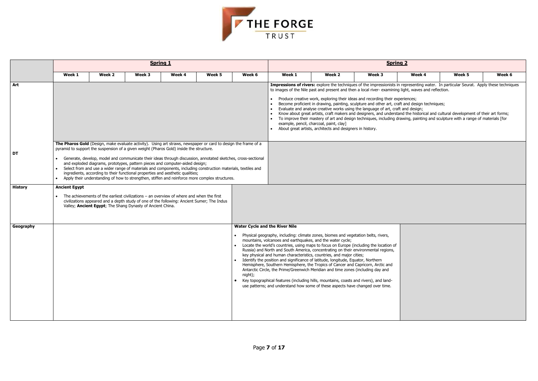| $\overline{\mathbf{r}}$                      |                                                                                                                          |        |
|----------------------------------------------|--------------------------------------------------------------------------------------------------------------------------|--------|
| Week 4                                       | Week 5                                                                                                                   | Week 6 |
| nt, waves and reflection.                    | presenting water. In particular Seurat. Apply these techniques                                                           |        |
| ences;<br>nd design techniques;<br>d design; | the historical and cultural development of their art forms;<br>ng, painting and sculpture with a range of materials [for |        |
|                                              |                                                                                                                          |        |
|                                              |                                                                                                                          |        |
|                                              |                                                                                                                          |        |
|                                              |                                                                                                                          |        |
|                                              |                                                                                                                          |        |
|                                              |                                                                                                                          |        |
|                                              |                                                                                                                          |        |
|                                              |                                                                                                                          |        |
|                                              |                                                                                                                          |        |
|                                              |                                                                                                                          |        |
|                                              |                                                                                                                          |        |
|                                              |                                                                                                                          |        |
|                                              |                                                                                                                          |        |
|                                              |                                                                                                                          |        |



|                |                      |        | <b>Spring 1</b>                                                                                                                                                                                                                                                                                                                                                                                                                                                                                                                                                                                                                                                                                                |        |        |                                                  |                                                                                                                                                                                                                                                                                                                                                                                                                                                                                                                                                                                                                                                                                                                                                                                                                                                 |                                                                                                      |                                                                                                                                                                   | <b>Spring 2</b>                                                                                                                                                                                                                                                                                                                                                                                                                                                                                                                                                                                                          |        |        |
|----------------|----------------------|--------|----------------------------------------------------------------------------------------------------------------------------------------------------------------------------------------------------------------------------------------------------------------------------------------------------------------------------------------------------------------------------------------------------------------------------------------------------------------------------------------------------------------------------------------------------------------------------------------------------------------------------------------------------------------------------------------------------------------|--------|--------|--------------------------------------------------|-------------------------------------------------------------------------------------------------------------------------------------------------------------------------------------------------------------------------------------------------------------------------------------------------------------------------------------------------------------------------------------------------------------------------------------------------------------------------------------------------------------------------------------------------------------------------------------------------------------------------------------------------------------------------------------------------------------------------------------------------------------------------------------------------------------------------------------------------|------------------------------------------------------------------------------------------------------|-------------------------------------------------------------------------------------------------------------------------------------------------------------------|--------------------------------------------------------------------------------------------------------------------------------------------------------------------------------------------------------------------------------------------------------------------------------------------------------------------------------------------------------------------------------------------------------------------------------------------------------------------------------------------------------------------------------------------------------------------------------------------------------------------------|--------|--------|
|                | Week 1               | Week 2 | Week 3                                                                                                                                                                                                                                                                                                                                                                                                                                                                                                                                                                                                                                                                                                         | Week 4 | Week 5 | Week 6                                           | Week 1                                                                                                                                                                                                                                                                                                                                                                                                                                                                                                                                                                                                                                                                                                                                                                                                                                          | Week 2                                                                                               | Week 3                                                                                                                                                            | Week 4                                                                                                                                                                                                                                                                                                                                                                                                                                                                                                                                                                                                                   | Week 5 | Week 6 |
| Art            |                      |        |                                                                                                                                                                                                                                                                                                                                                                                                                                                                                                                                                                                                                                                                                                                |        |        |                                                  |                                                                                                                                                                                                                                                                                                                                                                                                                                                                                                                                                                                                                                                                                                                                                                                                                                                 | example, pencil, charcoal, paint, clay]<br>About great artists, architects and designers in history. | Produce creative work, exploring their ideas and recording their experiences;<br>Evaluate and analyse creative works using the language of art, craft and design; | Impressions of rivers: explore the techniques of the impressionists in representing water. In particular Seurat. Apply these techniques<br>to images of the Nile past and present and then a local river- examining light, waves and reflection.<br>Become proficient in drawing, painting, sculpture and other art, craft and design techniques;<br>Know about great artists, craft makers and designers, and understand the historical and cultural development of their art forms;<br>To improve their mastery of art and design techniques, including drawing, painting and sculpture with a range of materials [for |        |        |
| DT             |                      |        | The Pharos Gold (Design, make evaluate activity). Using art straws, newspaper or card to design the frame of a<br>pyramid to support the suspension of a given weight (Pharos Gold) inside the structure.<br>Generate, develop, model and communicate their ideas through discussion, annotated sketches, cross-sectional<br>and exploded diagrams, prototypes, pattern pieces and computer-aided design;<br>Select from and use a wider range of materials and components, including construction materials, textiles and<br>ingredients, according to their functional properties and aesthetic qualities;<br>Apply their understanding of how to strengthen, stiffen and reinforce more complex structures. |        |        |                                                  |                                                                                                                                                                                                                                                                                                                                                                                                                                                                                                                                                                                                                                                                                                                                                                                                                                                 |                                                                                                      |                                                                                                                                                                   |                                                                                                                                                                                                                                                                                                                                                                                                                                                                                                                                                                                                                          |        |        |
| <b>History</b> | <b>Ancient Egypt</b> |        | The achievements of the earliest civilizations – an overview of where and when the first<br>civilizations appeared and a depth study of one of the following: Ancient Sumer; The Indus<br>Valley; Ancient Egypt; The Shang Dynasty of Ancient China.                                                                                                                                                                                                                                                                                                                                                                                                                                                           |        |        |                                                  |                                                                                                                                                                                                                                                                                                                                                                                                                                                                                                                                                                                                                                                                                                                                                                                                                                                 |                                                                                                      |                                                                                                                                                                   |                                                                                                                                                                                                                                                                                                                                                                                                                                                                                                                                                                                                                          |        |        |
| Geography      |                      |        |                                                                                                                                                                                                                                                                                                                                                                                                                                                                                                                                                                                                                                                                                                                |        |        | <b>Water Cycle and the River Nile</b><br>night); | Physical geography, including: climate zones, biomes and vegetation belts, rivers,<br>mountains, volcanoes and earthquakes, and the water cycle;<br>Locate the world's countries, using maps to focus on Europe (including the location of<br>Russia) and North and South America, concentrating on their environmental regions,<br>key physical and human characteristics, countries, and major cities;<br>Identify the position and significance of latitude, longitude, Equator, Northern<br>Hemisphere, Southern Hemisphere, the Tropics of Cancer and Capricorn, Arctic and<br>Antarctic Circle, the Prime/Greenwich Meridian and time zones (including day and<br>Key topographical features (including hills, mountains, coasts and rivers), and land-<br>use patterns; and understand how some of these aspects have changed over time. |                                                                                                      |                                                                                                                                                                   |                                                                                                                                                                                                                                                                                                                                                                                                                                                                                                                                                                                                                          |        |        |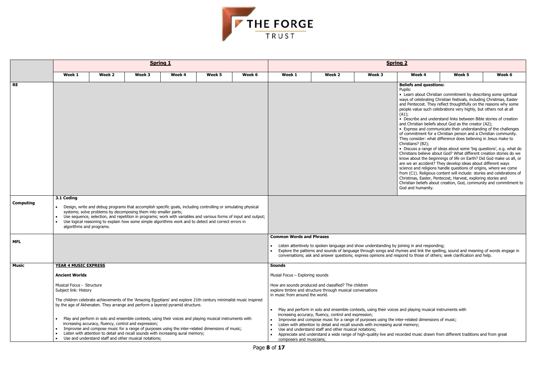

| Week 1<br>Week 2<br>Week 4<br>Week 5<br>Week 4<br>Week 5<br>Week 3<br>Week 6<br>Week 1<br>Week 2<br>Week 3<br><b>RE</b><br><b>Beliefs and questions:</b><br>Pupils:<br>• Learn about Christian commitment by describing some spiritual<br>ways of celebrating Christian festivals, including Christmas, Easter<br>and Pentecost. They reflect thoughtfully on the reasons why some<br>people value such celebrations very highly, but others not at all<br>(A1);<br>• Describe and understand links between Bible stories of creation<br>and Christian beliefs about God as the creator (A2);<br>• Express and communicate their understanding of the challenges<br>of commitment for a Christian person and a Christian community.<br>They consider: what difference does believing in Jesus make to<br>Christians? (B2);<br>• Discuss a range of ideas about some 'big questions', e.g. what do<br>Christians believe about God? What different creation stories do we<br>know about the beginnings of life on Earth? Did God make us all, or<br>are we an accident? They develop ideas about different ways<br>science and religions handle questions of origins, where we come<br>from (C1). Religious content will include: stories and celebrations of<br>Christmas, Easter, Pentecost, Harvest, exploring stories and<br>Christian beliefs about creation, God, community and commitment to<br>God and humanity.<br>3.1 Coding<br><b>Computing</b><br>Design, write and debug programs that accomplish specific goals, including controlling or simulating physical<br>systems; solve problems by decomposing them into smaller parts;<br>Use sequence, selection, and repetition in programs; work with variables and various forms of input and output;<br>Use logical reasoning to explain how some simple algorithms work and to detect and correct errors in<br>$\bullet$<br>algorithms and programs.<br><b>Common Words and Phrases</b><br><b>MFL</b><br>Listen attentively to spoken language and show understanding by joining in and responding;<br>Explore the patterns and sounds of language through songs and rhymes and link the spelling, sound and meaning of words engage in<br>conversations; ask and answer questions; express opinions and respond to those of others; seek clarification and help.<br><b>Music</b><br><b>YEAR 4 MUSIC EXPRESS</b><br><b>Sounds</b><br>Musial Focus - Exploring sounds<br><b>Ancient Worlds</b><br>Musical Focus - Structure<br>How are sounds produced and classified? The children<br>explore timbre and structure through musical conversations<br>Subject link: History<br>in music from around the world.<br>The children celebrate achievements of the `Amazing Egyptians' and explore 21th century minimalist music inspired<br>by the age of Akhenaten. They arrange and perform a layered pyramid structure.<br>Play and perform in solo and ensemble contexts, using their voices and playing musical instruments with<br>increasing accuracy, fluency, control and expression; |  |  | <b>Spring 1</b> |  | <b>Spring 2</b> |  |  |  |  |        |  |  |
|------------------------------------------------------------------------------------------------------------------------------------------------------------------------------------------------------------------------------------------------------------------------------------------------------------------------------------------------------------------------------------------------------------------------------------------------------------------------------------------------------------------------------------------------------------------------------------------------------------------------------------------------------------------------------------------------------------------------------------------------------------------------------------------------------------------------------------------------------------------------------------------------------------------------------------------------------------------------------------------------------------------------------------------------------------------------------------------------------------------------------------------------------------------------------------------------------------------------------------------------------------------------------------------------------------------------------------------------------------------------------------------------------------------------------------------------------------------------------------------------------------------------------------------------------------------------------------------------------------------------------------------------------------------------------------------------------------------------------------------------------------------------------------------------------------------------------------------------------------------------------------------------------------------------------------------------------------------------------------------------------------------------------------------------------------------------------------------------------------------------------------------------------------------------------------------------------------------------------------------------------------------------------------------------------------------------------------------------------------------------------------------------------------------------------------------------------------------------------------------------------------------------------------------------------------------------------------------------------------------------------------------------------------------------------------------------------------------------------------------------------------------------------------------------------------------------------------------------------------------------------------------------------------------------------------------------------------------------------------------------------------------------------------------------------|--|--|-----------------|--|-----------------|--|--|--|--|--------|--|--|
|                                                                                                                                                                                                                                                                                                                                                                                                                                                                                                                                                                                                                                                                                                                                                                                                                                                                                                                                                                                                                                                                                                                                                                                                                                                                                                                                                                                                                                                                                                                                                                                                                                                                                                                                                                                                                                                                                                                                                                                                                                                                                                                                                                                                                                                                                                                                                                                                                                                                                                                                                                                                                                                                                                                                                                                                                                                                                                                                                                                                                                                      |  |  |                 |  |                 |  |  |  |  | Week 6 |  |  |
|                                                                                                                                                                                                                                                                                                                                                                                                                                                                                                                                                                                                                                                                                                                                                                                                                                                                                                                                                                                                                                                                                                                                                                                                                                                                                                                                                                                                                                                                                                                                                                                                                                                                                                                                                                                                                                                                                                                                                                                                                                                                                                                                                                                                                                                                                                                                                                                                                                                                                                                                                                                                                                                                                                                                                                                                                                                                                                                                                                                                                                                      |  |  |                 |  |                 |  |  |  |  |        |  |  |
|                                                                                                                                                                                                                                                                                                                                                                                                                                                                                                                                                                                                                                                                                                                                                                                                                                                                                                                                                                                                                                                                                                                                                                                                                                                                                                                                                                                                                                                                                                                                                                                                                                                                                                                                                                                                                                                                                                                                                                                                                                                                                                                                                                                                                                                                                                                                                                                                                                                                                                                                                                                                                                                                                                                                                                                                                                                                                                                                                                                                                                                      |  |  |                 |  |                 |  |  |  |  |        |  |  |
|                                                                                                                                                                                                                                                                                                                                                                                                                                                                                                                                                                                                                                                                                                                                                                                                                                                                                                                                                                                                                                                                                                                                                                                                                                                                                                                                                                                                                                                                                                                                                                                                                                                                                                                                                                                                                                                                                                                                                                                                                                                                                                                                                                                                                                                                                                                                                                                                                                                                                                                                                                                                                                                                                                                                                                                                                                                                                                                                                                                                                                                      |  |  |                 |  |                 |  |  |  |  |        |  |  |
|                                                                                                                                                                                                                                                                                                                                                                                                                                                                                                                                                                                                                                                                                                                                                                                                                                                                                                                                                                                                                                                                                                                                                                                                                                                                                                                                                                                                                                                                                                                                                                                                                                                                                                                                                                                                                                                                                                                                                                                                                                                                                                                                                                                                                                                                                                                                                                                                                                                                                                                                                                                                                                                                                                                                                                                                                                                                                                                                                                                                                                                      |  |  |                 |  |                 |  |  |  |  |        |  |  |
|                                                                                                                                                                                                                                                                                                                                                                                                                                                                                                                                                                                                                                                                                                                                                                                                                                                                                                                                                                                                                                                                                                                                                                                                                                                                                                                                                                                                                                                                                                                                                                                                                                                                                                                                                                                                                                                                                                                                                                                                                                                                                                                                                                                                                                                                                                                                                                                                                                                                                                                                                                                                                                                                                                                                                                                                                                                                                                                                                                                                                                                      |  |  |                 |  |                 |  |  |  |  |        |  |  |
|                                                                                                                                                                                                                                                                                                                                                                                                                                                                                                                                                                                                                                                                                                                                                                                                                                                                                                                                                                                                                                                                                                                                                                                                                                                                                                                                                                                                                                                                                                                                                                                                                                                                                                                                                                                                                                                                                                                                                                                                                                                                                                                                                                                                                                                                                                                                                                                                                                                                                                                                                                                                                                                                                                                                                                                                                                                                                                                                                                                                                                                      |  |  |                 |  |                 |  |  |  |  |        |  |  |
| Play and perform in solo and ensemble contexts, using their voices and playing musical instruments with<br>Improvise and compose music for a range of purposes using the inter-related dimensions of music;<br>increasing accuracy, fluency, control and expression;<br>Listen with attention to detail and recall sounds with increasing aural memory;<br>Improvise and compose music for a range of purposes using the inter-related dimensions of music;<br>$\bullet$<br>Use and understand staff and other musical notations;<br>Listen with attention to detail and recall sounds with increasing aural memory;<br>$\bullet$<br>Appreciate and understand a wide range of high-quality live and recorded music drawn from different traditions and from great                                                                                                                                                                                                                                                                                                                                                                                                                                                                                                                                                                                                                                                                                                                                                                                                                                                                                                                                                                                                                                                                                                                                                                                                                                                                                                                                                                                                                                                                                                                                                                                                                                                                                                                                                                                                                                                                                                                                                                                                                                                                                                                                                                                                                                                                                   |  |  |                 |  |                 |  |  |  |  |        |  |  |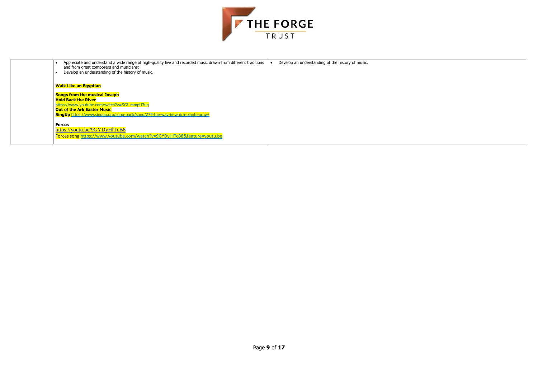

| Appreciate and understand a wide range of high-quality live and recorded music drawn from different traditions<br>and from great composers and musicians;<br>Develop an understanding of the history of music.                            | Develop an understanding of the history of music. |
|-------------------------------------------------------------------------------------------------------------------------------------------------------------------------------------------------------------------------------------------|---------------------------------------------------|
| <b>Walk Like an Egyptian</b>                                                                                                                                                                                                              |                                                   |
| <b>Songs from the musical Joseph</b><br><b>Hold Back the River</b><br>https://www.youtube.com/watch?v=SGf_mmpU3uq<br><b>Out of the Ark Easter Music</b><br>SingUp https://www.singup.org/song-bank/song/279-the-way-in-which-plants-grow/ |                                                   |
| <b>Forces</b><br>https://youtu.be/9GYDyHITcB8<br>Forces song https://www.youtube.com/watch?v=9GYDyHlTcB8&feature=youtu.be                                                                                                                 |                                                   |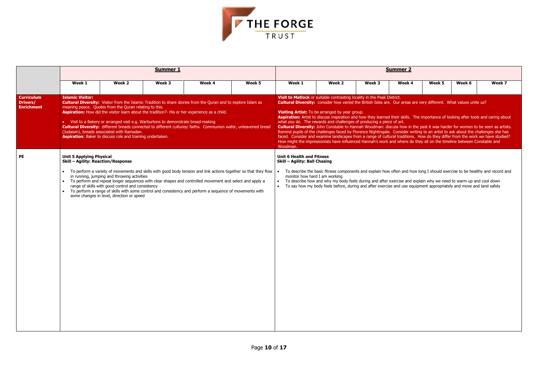| <u>. 2</u> |                                                                                                        |        |                                                                                                                                                                                         |
|------------|--------------------------------------------------------------------------------------------------------|--------|-----------------------------------------------------------------------------------------------------------------------------------------------------------------------------------------|
| k 4        | Week 5                                                                                                 | Week 6 | Week 7                                                                                                                                                                                  |
|            |                                                                                                        |        |                                                                                                                                                                                         |
|            | eas are very different. What values unite us?                                                          |        |                                                                                                                                                                                         |
|            |                                                                                                        |        | Is. The importance of looking after tools and caring about                                                                                                                              |
|            | e do they sit on the timeline between Constable and                                                    |        | v in the past it was harder for women to be seen as artists.<br>er writing to an artist to ask about the challenges she has<br>tions. How do they differ from the work we have studied? |
|            |                                                                                                        |        |                                                                                                                                                                                         |
|            |                                                                                                        |        |                                                                                                                                                                                         |
|            |                                                                                                        |        | d how long I should exercise to be healthy and record and                                                                                                                               |
|            | and explain why we need to warm up and cool down<br>e equipment appropriately and move and land safely |        |                                                                                                                                                                                         |
|            |                                                                                                        |        |                                                                                                                                                                                         |
|            |                                                                                                        |        |                                                                                                                                                                                         |
|            |                                                                                                        |        |                                                                                                                                                                                         |
|            |                                                                                                        |        |                                                                                                                                                                                         |
|            |                                                                                                        |        |                                                                                                                                                                                         |
|            |                                                                                                        |        |                                                                                                                                                                                         |
|            |                                                                                                        |        |                                                                                                                                                                                         |
|            |                                                                                                        |        |                                                                                                                                                                                         |



|                                                           |                                                                              |                                                                                                                                                                                                                                                         | <b>Summer 1</b> |                                                                                                                                                                                                                                                                                                                                           |        | <b>Summer 2</b>                                                                                                                                                                                                                                                                                                                                                                                                                                                                                                                                                                                                                                                                                                                                                                                                                                                                                                                                                                                           |                                                                                                                                                                                                                                                                                                                                                                       |        |        |        |        |        |  |
|-----------------------------------------------------------|------------------------------------------------------------------------------|---------------------------------------------------------------------------------------------------------------------------------------------------------------------------------------------------------------------------------------------------------|-----------------|-------------------------------------------------------------------------------------------------------------------------------------------------------------------------------------------------------------------------------------------------------------------------------------------------------------------------------------------|--------|-----------------------------------------------------------------------------------------------------------------------------------------------------------------------------------------------------------------------------------------------------------------------------------------------------------------------------------------------------------------------------------------------------------------------------------------------------------------------------------------------------------------------------------------------------------------------------------------------------------------------------------------------------------------------------------------------------------------------------------------------------------------------------------------------------------------------------------------------------------------------------------------------------------------------------------------------------------------------------------------------------------|-----------------------------------------------------------------------------------------------------------------------------------------------------------------------------------------------------------------------------------------------------------------------------------------------------------------------------------------------------------------------|--------|--------|--------|--------|--------|--|
|                                                           | Week 1                                                                       | Week 2                                                                                                                                                                                                                                                  | Week 3          | Week 4                                                                                                                                                                                                                                                                                                                                    | Week 5 | Week 1                                                                                                                                                                                                                                                                                                                                                                                                                                                                                                                                                                                                                                                                                                                                                                                                                                                                                                                                                                                                    | Week 2                                                                                                                                                                                                                                                                                                                                                                | Week 3 | Week 4 | Week 5 | Week 6 | Week 7 |  |
| <b>Curriculum</b><br><b>Drivers/</b><br><b>Enrichment</b> | <b>Islamic Visitor:</b>                                                      | meaning peace. Quotes from the Quran relating to this.<br>• Visit to a Bakery or arranged visit e.g. Warburtons to demonstrate bread-making<br>(Judaism), breads associated with Ramadan.<br>Aspiration: Baker to discuss role and training undertaken. |                 | <b>Cultural Diversity:</b> Visitor from the Islamic Tradition to share stories from the Quran and to explore Islam as<br>Aspiration: How did the visitor learn about the tradition?- His or her experience as a child.<br>Cultural Diversity: different breads connected to different cultures/ faiths. Communion wafer, unleavened bread |        | Visit to Matlock or suitable contrasting locality in the Peak District.<br>Cultural Diversity: consider how varied the British Isles are. Our areas are very different. What values unite us?<br>Visiting Artist: To be arranged by year group.<br>Aspiration: Artist to discuss inspiration and how they learned their skills. The importance of looking after tools and caring about<br>what you do. The rewards and challenges of producing a piece of art.<br>Cultural Diversity: John Constable to Hannah Woodman: discuss how in the past it was harder for women to be seen as artists.<br>Remind pupils of the challenges faced by Florence Nightingale. Consider writing to an artist to ask about the challenges she has<br>faced. Consider and examine landscapes from a range of cultural traditions. How do they differ from the work we have studied?<br>How might the impressionists have influenced Hannah's work and where do they sit on the timeline between Constable and<br>Woodman. |                                                                                                                                                                                                                                                                                                                                                                       |        |        |        |        |        |  |
| PE                                                        | <b>Unit 5 Applying Physical</b><br><b>Skill - Agility: Reaction/Response</b> | in running, jumping and throwing activities<br>range of skills with good control and consistency<br>some changes in level, direction or speed                                                                                                           |                 | • To perform a variety of movements and skills with good body tension and link actions together so that they flow<br>• To perform and repeat longer sequences with clear shapes and controlled movement and select and apply a<br>To perform a range of skills with some control and consistency and perform a sequence of movements with |        | <b>Unit 6 Health and Fitness</b><br>Skill - Agility: Ball Chasing<br>monitor how hard I am working                                                                                                                                                                                                                                                                                                                                                                                                                                                                                                                                                                                                                                                                                                                                                                                                                                                                                                        | To describe the basic fitness components and explain how often and how long I should exercise to be healthy and record and<br>To describe how and why my body feels during and after exercise and explain why we need to warm up and cool down<br>To say how my body feels before, during and after exercise and use equipment appropriately and move and land safely |        |        |        |        |        |  |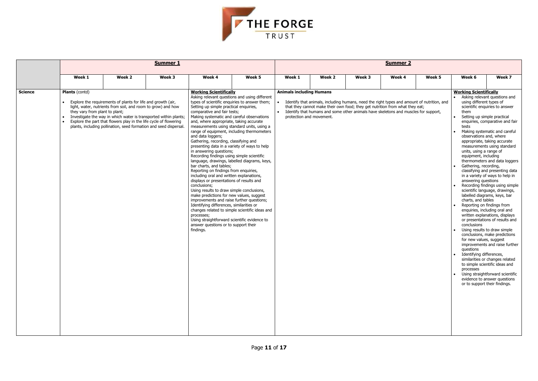

|                |                                                         |                                                                                                                                                                                                                                                                                                                                            | Summer 1 | <b>Summer 2</b>                                                                                                                                                                                                                                                                                                                                                                                                                                                                                                                                                                                                                                                                                                                                                                                                                                                                                                          |                                                                                                                                                                                                                                             |                                 |                                                                                                                                                                                                                                                                                                   |        |        |        |                                                                                                                                                                                                                                                                                                                                                                                             |                                                                                                                                                                                                                                                                                                                                                                                                                                                                                                                                                                                                                                                                                                                                                                                                   |
|----------------|---------------------------------------------------------|--------------------------------------------------------------------------------------------------------------------------------------------------------------------------------------------------------------------------------------------------------------------------------------------------------------------------------------------|----------|--------------------------------------------------------------------------------------------------------------------------------------------------------------------------------------------------------------------------------------------------------------------------------------------------------------------------------------------------------------------------------------------------------------------------------------------------------------------------------------------------------------------------------------------------------------------------------------------------------------------------------------------------------------------------------------------------------------------------------------------------------------------------------------------------------------------------------------------------------------------------------------------------------------------------|---------------------------------------------------------------------------------------------------------------------------------------------------------------------------------------------------------------------------------------------|---------------------------------|---------------------------------------------------------------------------------------------------------------------------------------------------------------------------------------------------------------------------------------------------------------------------------------------------|--------|--------|--------|---------------------------------------------------------------------------------------------------------------------------------------------------------------------------------------------------------------------------------------------------------------------------------------------------------------------------------------------------------------------------------------------|---------------------------------------------------------------------------------------------------------------------------------------------------------------------------------------------------------------------------------------------------------------------------------------------------------------------------------------------------------------------------------------------------------------------------------------------------------------------------------------------------------------------------------------------------------------------------------------------------------------------------------------------------------------------------------------------------------------------------------------------------------------------------------------------------|
|                | Week 1                                                  | Week 2                                                                                                                                                                                                                                                                                                                                     | Week 3   | Week 4                                                                                                                                                                                                                                                                                                                                                                                                                                                                                                                                                                                                                                                                                                                                                                                                                                                                                                                   | Week 5                                                                                                                                                                                                                                      | Week 1                          | Week 2                                                                                                                                                                                                                                                                                            | Week 3 | Week 4 | Week 5 | Week 6                                                                                                                                                                                                                                                                                                                                                                                      | Week 7                                                                                                                                                                                                                                                                                                                                                                                                                                                                                                                                                                                                                                                                                                                                                                                            |
| <b>Science</b> | <b>Plants</b> (contd)<br>they vary from plant to plant; | Explore the requirements of plants for life and growth (air,<br>light, water, nutrients from soil, and room to grow) and how<br>Investigate the way in which water is transported within plants;<br>Explore the part that flowers play in the life cycle of flowering<br>plants, including pollination, seed formation and seed dispersal. |          | <b>Working Scientifically</b><br>types of scientific enquiries to answer them;<br>Setting up simple practical enquiries,<br>comparative and fair tests;<br>Making systematic and careful observations<br>and, where appropriate, taking accurate<br>and data loggers;<br>Gathering, recording, classifying and<br>presenting data in a variety of ways to help<br>in answering questions;<br>Recording findings using simple scientific<br>bar charts, and tables;<br>Reporting on findings from enquiries,<br>including oral and written explanations,<br>displays or presentations of results and<br>conclusions;<br>Using results to draw simple conclusions,<br>make predictions for new values, suggest<br>improvements and raise further questions;<br>Identifying differences, similarities or<br>processes;<br>Using straightforward scientific evidence to<br>answer questions or to support their<br>findings. | Asking relevant questions and using different<br>measurements using standard units, using a<br>range of equipment, including thermometers<br>language, drawings, labelled diagrams, keys,<br>changes related to simple scientific ideas and | <b>Animals including Humans</b> | • Identify that animals, including humans, need the right types and amount of nutrition, and<br>that they cannot make their own food; they get nutrition from what they eat;<br>• Identify that humans and some other animals have skeletons and muscles for support,<br>protection and movement. |        |        |        | <b>Working Scientifically</b><br>using different types of<br>them<br>Setting up simple practical<br>tests<br>observations and, where<br>units, using a range of<br>equipment, including<br>Gathering, recording,<br>answering questions<br>charts, and tables<br>Reporting on findings from<br>conclusions<br>for new values, suggest<br>questions<br>Identifying differences,<br>processes | Asking relevant questions and<br>scientific enquiries to answer<br>enquiries, comparative and fair<br>Making systematic and careful<br>appropriate, taking accurate<br>measurements using standard<br>thermometers and data loggers<br>classifying and presenting data<br>in a variety of ways to help in<br>Recording findings using simple<br>scientific language, drawings,<br>labelled diagrams, keys, bar<br>enquiries, including oral and<br>written explanations, displays<br>or presentations of results and<br>Using results to draw simple<br>conclusions, make predictions<br>improvements and raise further<br>similarities or changes related<br>to simple scientific ideas and<br>Using straightforward scientific<br>evidence to answer questions<br>or to support their findings. |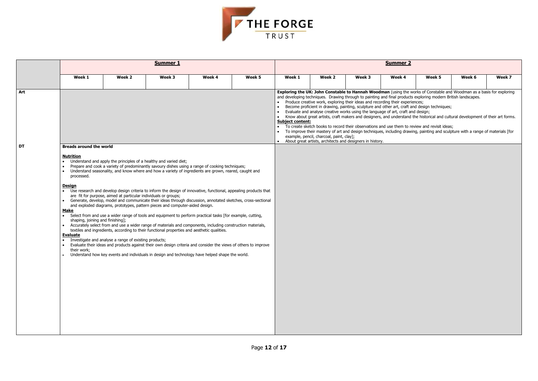

|           | <b>Summer 1</b>                                                                                                                                                                                                                                                                                                                                                                                                                                                                                                                                                                                                                                                                                                                                                                                                                                                                                                                                                                                                                                                                                                                                                                                                                                                                                                                                                                                                                                                        |        |        |        |                                                                                                                                                                                                                                                                                                                                                                                                                                                                                                                                                                                                                                                                                                                                                                                                                                                                                                                                                                                                                                        |        | <b>Summer 2</b> |        |        |        |        |        |  |  |  |
|-----------|------------------------------------------------------------------------------------------------------------------------------------------------------------------------------------------------------------------------------------------------------------------------------------------------------------------------------------------------------------------------------------------------------------------------------------------------------------------------------------------------------------------------------------------------------------------------------------------------------------------------------------------------------------------------------------------------------------------------------------------------------------------------------------------------------------------------------------------------------------------------------------------------------------------------------------------------------------------------------------------------------------------------------------------------------------------------------------------------------------------------------------------------------------------------------------------------------------------------------------------------------------------------------------------------------------------------------------------------------------------------------------------------------------------------------------------------------------------------|--------|--------|--------|----------------------------------------------------------------------------------------------------------------------------------------------------------------------------------------------------------------------------------------------------------------------------------------------------------------------------------------------------------------------------------------------------------------------------------------------------------------------------------------------------------------------------------------------------------------------------------------------------------------------------------------------------------------------------------------------------------------------------------------------------------------------------------------------------------------------------------------------------------------------------------------------------------------------------------------------------------------------------------------------------------------------------------------|--------|-----------------|--------|--------|--------|--------|--------|--|--|--|
|           | Week 1                                                                                                                                                                                                                                                                                                                                                                                                                                                                                                                                                                                                                                                                                                                                                                                                                                                                                                                                                                                                                                                                                                                                                                                                                                                                                                                                                                                                                                                                 | Week 2 | Week 3 | Week 4 | Week 5                                                                                                                                                                                                                                                                                                                                                                                                                                                                                                                                                                                                                                                                                                                                                                                                                                                                                                                                                                                                                                 | Week 1 | Week 2          | Week 3 | Week 4 | Week 5 | Week 6 | Week 7 |  |  |  |
| Art       |                                                                                                                                                                                                                                                                                                                                                                                                                                                                                                                                                                                                                                                                                                                                                                                                                                                                                                                                                                                                                                                                                                                                                                                                                                                                                                                                                                                                                                                                        |        |        |        | Exploring the UK: John Constable to Hannah Woodman (using the works of Constable and Woodman as a basis for exploring<br>and developing techniques. Drawing through to painting and final products exploring modern British landscapes.<br>Produce creative work, exploring their ideas and recording their experiences;<br>$\bullet$<br>Become proficient in drawing, painting, sculpture and other art, craft and design techniques;<br>Evaluate and analyse creative works using the language of art, craft and design;<br>Know about great artists, craft makers and designers, and understand the historical and cultural development of their art forms.<br><b>Subject content:</b><br>To create sketch books to record their observations and use them to review and revisit ideas;<br>To improve their mastery of art and design techniques, including drawing, painting and sculpture with a range of materials [for<br>example, pencil, charcoal, paint, clay];<br>About great artists, architects and designers in history. |        |                 |        |        |        |        |        |  |  |  |
| <b>DT</b> | <b>Breads around the world</b><br><b>Nutrition</b><br>Understand and apply the principles of a healthy and varied diet;<br>Prepare and cook a variety of predominantly savoury dishes using a range of cooking techniques;<br>Understand seasonality, and know where and how a variety of ingredients are grown, reared, caught and<br>processed.<br><u>Design</u><br>Use research and develop design criteria to inform the design of innovative, functional, appealing products that<br>$\bullet$<br>are fit for purpose, aimed at particular individuals or groups;<br>Generate, develop, model and communicate their ideas through discussion, annotated sketches, cross-sectional<br>and exploded diagrams, prototypes, pattern pieces and computer-aided design.<br><b>Make</b><br>Select from and use a wider range of tools and equipment to perform practical tasks [for example, cutting,<br>shaping, joining and finishing];<br>Accurately select from and use a wider range of materials and components, including construction materials,<br>textiles and ingredients, according to their functional properties and aesthetic qualities.<br><b>Evaluate</b><br>Investigate and analyse a range of existing products;<br>Evaluate their ideas and products against their own design criteria and consider the views of others to improve<br>their work;<br>Understand how key events and individuals in design and technology have helped shape the world. |        |        |        |                                                                                                                                                                                                                                                                                                                                                                                                                                                                                                                                                                                                                                                                                                                                                                                                                                                                                                                                                                                                                                        |        |                 |        |        |        |        |        |  |  |  |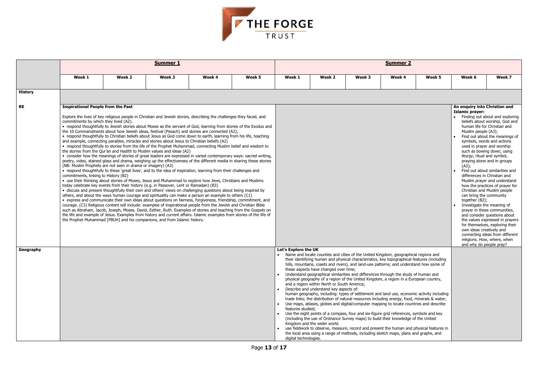| Week 5 | Week 6 | Week 7 |
|--------|--------|--------|



|                |                                                                                                                            |                                                                                                                                                                                                                                                                                                                                                                                                                                                                                                                                                                                                                                                                                                                                                                                                                                                                                                                                                                                                                                                                                                                                                                                                                                                                                                                                                                                                                                                                                                                                                                                                                                                                                                                                                                                                                                                                                                                                                                                                                                                                                                                                                                                                              | <b>Summer 1</b> | <b>Summer 2</b> |        |                                                                                                                                                                                                                                                                                                                                                                                                                                                                                                                                                                                                                                                                                                                                                                                                                                               |                                                                                                                                                                                                                                                                                                                                                                                                                                                                                                                                                                                                                                                                                                                                                                                                                                                                                                                                                                                                                                                                                                         |        |        |                                                                                                                                                                                       |        |        |
|----------------|----------------------------------------------------------------------------------------------------------------------------|--------------------------------------------------------------------------------------------------------------------------------------------------------------------------------------------------------------------------------------------------------------------------------------------------------------------------------------------------------------------------------------------------------------------------------------------------------------------------------------------------------------------------------------------------------------------------------------------------------------------------------------------------------------------------------------------------------------------------------------------------------------------------------------------------------------------------------------------------------------------------------------------------------------------------------------------------------------------------------------------------------------------------------------------------------------------------------------------------------------------------------------------------------------------------------------------------------------------------------------------------------------------------------------------------------------------------------------------------------------------------------------------------------------------------------------------------------------------------------------------------------------------------------------------------------------------------------------------------------------------------------------------------------------------------------------------------------------------------------------------------------------------------------------------------------------------------------------------------------------------------------------------------------------------------------------------------------------------------------------------------------------------------------------------------------------------------------------------------------------------------------------------------------------------------------------------------------------|-----------------|-----------------|--------|-----------------------------------------------------------------------------------------------------------------------------------------------------------------------------------------------------------------------------------------------------------------------------------------------------------------------------------------------------------------------------------------------------------------------------------------------------------------------------------------------------------------------------------------------------------------------------------------------------------------------------------------------------------------------------------------------------------------------------------------------------------------------------------------------------------------------------------------------|---------------------------------------------------------------------------------------------------------------------------------------------------------------------------------------------------------------------------------------------------------------------------------------------------------------------------------------------------------------------------------------------------------------------------------------------------------------------------------------------------------------------------------------------------------------------------------------------------------------------------------------------------------------------------------------------------------------------------------------------------------------------------------------------------------------------------------------------------------------------------------------------------------------------------------------------------------------------------------------------------------------------------------------------------------------------------------------------------------|--------|--------|---------------------------------------------------------------------------------------------------------------------------------------------------------------------------------------|--------|--------|
|                | Week 1                                                                                                                     | Week 2                                                                                                                                                                                                                                                                                                                                                                                                                                                                                                                                                                                                                                                                                                                                                                                                                                                                                                                                                                                                                                                                                                                                                                                                                                                                                                                                                                                                                                                                                                                                                                                                                                                                                                                                                                                                                                                                                                                                                                                                                                                                                                                                                                                                       | Week 3          | Week 4          | Week 5 | Week 1                                                                                                                                                                                                                                                                                                                                                                                                                                                                                                                                                                                                                                                                                                                                                                                                                                        | Week 2                                                                                                                                                                                                                                                                                                                                                                                                                                                                                                                                                                                                                                                                                                                                                                                                                                                                                                                                                                                                                                                                                                  | Week 3 | Week 4 | Week 5                                                                                                                                                                                | Week 6 | Week 7 |
| <b>History</b> |                                                                                                                            |                                                                                                                                                                                                                                                                                                                                                                                                                                                                                                                                                                                                                                                                                                                                                                                                                                                                                                                                                                                                                                                                                                                                                                                                                                                                                                                                                                                                                                                                                                                                                                                                                                                                                                                                                                                                                                                                                                                                                                                                                                                                                                                                                                                                              |                 |                 |        |                                                                                                                                                                                                                                                                                                                                                                                                                                                                                                                                                                                                                                                                                                                                                                                                                                               |                                                                                                                                                                                                                                                                                                                                                                                                                                                                                                                                                                                                                                                                                                                                                                                                                                                                                                                                                                                                                                                                                                         |        |        |                                                                                                                                                                                       |        |        |
| <b>RE</b>      | <b>Inspirational People from the Past</b><br>commitments by which they lived (A2).<br>commitments, linking to History (B2) | Explore the lives of key religious people in Christian and Jewish stories, describing the challenges they faced, and<br>• respond thoughtfully to Jewish stories about Moses as the servant of God, learning from stories of the Exodus and<br>the 10 Commandments about how Jewish ideas, festival (Pesach) and stories are connected (A2);<br>• respond thoughtfully to Christian beliefs about Jesus as God come down to earth, learning from his life, teaching<br>and example, connecting parables, miracles and stories about Jesus to Christian beliefs (A2)<br>• respond thoughtfully to stories from the life of the Prophet Muhammad, connecting Muslim belief and wisdom to<br>the stories from the Qur'an and Hadith to Muslim values and ideas (A2)<br>• consider how the meanings of stories of great leaders are expressed in varied contemporary ways: sacred writing,<br>poetry, video, stained glass and drama, weighing up the effectiveness of the different media in sharing these stories<br>(NB: Muslim Prophets are not seen in drama or imagery) (A3)<br>• respond thoughtfully to these 'great lives', and to the idea of inspiration, learning from their challenges and<br>• use their thinking about stories of Moses, Jesus and Muhammad to explore how Jews, Christians and Muslims<br>today celebrate key events from their history (e.g. in Passover, Lent or Ramadan) (B3)<br>• discuss and present thoughtfully their own and others' views on challenging questions about being inspired by<br>others, and about the ways human courage and spirituality can make a person an example to others (C1)<br>• express and communicate their own ideas about questions on fairness, forgiveness, friendship, commitment, and<br>courage. (C3) Religious content will include: examples of inspirational people from the Jewish and Christian Bible<br>such as Abraham, Jacob, Joseph, Moses, David, Esther, Ruth. Examples of stories and teaching from the Gospels on<br>the life and example of Jesus. Examples from history and current affairs. Islamic examples from stories of the life of<br>the Prophet Muhammad [PBUH] and his companions, and from Islamic history. |                 |                 |        | An enquiry into Christian and<br><b>Islamic prayer:</b><br>• Finding out about and explo<br>beliefs about worship, God<br>human life for Christian and<br>Muslim people (A3);<br>• Find out about the meaning<br>symbols, words and actions<br>used in prayer and worship<br>such as bowing down, using<br>liturgy, ritual and symbol,<br>praying alone and in groups<br>(A3);<br>Find out about similarities a<br>differences in Christian and<br>Muslim prayer and understa<br>how the practices of prayer<br>Christian and Muslim people<br>can bring the community<br>together (B2);<br>Investigate the meaning of<br>prayer in these communities<br>and consider questions abo<br>the values expressed in pra<br>for themselves, exploring th<br>own ideas creatively and<br>connecting ideas from differ<br>religions. How, where, wher |                                                                                                                                                                                                                                                                                                                                                                                                                                                                                                                                                                                                                                                                                                                                                                                                                                                                                                                                                                                                                                                                                                         |        |        |                                                                                                                                                                                       |        |        |
| Geography      |                                                                                                                            |                                                                                                                                                                                                                                                                                                                                                                                                                                                                                                                                                                                                                                                                                                                                                                                                                                                                                                                                                                                                                                                                                                                                                                                                                                                                                                                                                                                                                                                                                                                                                                                                                                                                                                                                                                                                                                                                                                                                                                                                                                                                                                                                                                                                              |                 |                 |        | Let's Explore the UK<br>$\bullet$<br>features studied;<br>$\bullet$<br>digital technologies.                                                                                                                                                                                                                                                                                                                                                                                                                                                                                                                                                                                                                                                                                                                                                  | Name and locate counties and cities of the United Kingdom, geographical regions and<br>their identifying human and physical characteristics, key topographical features (including<br>hills, mountains, coasts and rivers), and land-use patterns; and understand how some of<br>these aspects have changed over time;<br>• Understand geographical similarities and differences through the study of human and<br>physical geography of a region of the United Kingdom, a region in a European country,<br>and a region within North or South America;<br>Describe and understand key aspects of:<br>trade links; the distribution of natural resources including energy, food, minerals & water;<br>Use maps, atlases, globes and digital/computer mapping to locate countries and describe<br>Use the eight points of a compass, four and six-figure grid references, symbols and key<br>(including the use of Ordnance Survey maps) to build their knowledge of the United<br>Kingdom and the wider world.<br>the local area using a range of methods, including sketch maps, plans and graphs, and |        |        | human geography, including: types of settlement and land use, economic activity including<br>use fieldwork to observe, measure, record and present the human and physical features in |        |        |

|                                                                              | An enquiry into Christian and                                                                                                                                                                                                                                                                                                                                                                                                                                                                                                                                                                                                                                                                                                                                                                                                                                        |
|------------------------------------------------------------------------------|----------------------------------------------------------------------------------------------------------------------------------------------------------------------------------------------------------------------------------------------------------------------------------------------------------------------------------------------------------------------------------------------------------------------------------------------------------------------------------------------------------------------------------------------------------------------------------------------------------------------------------------------------------------------------------------------------------------------------------------------------------------------------------------------------------------------------------------------------------------------|
|                                                                              | <b>Islamic prayer:</b><br>Finding out about and exploring<br>beliefs about worship, God and<br>human life for Christian and<br>Muslim people (A3);<br>Find out about the meanings of<br>symbols, words and actions<br>used in prayer and worship<br>such as bowing down, using<br>liturgy, ritual and symbol,<br>praying alone and in groups<br>(A3);<br>Find out about similarities and<br>differences in Christian and<br>Muslim prayer and understand<br>how the practices of prayer for<br>Christian and Muslim people<br>can bring the community<br>together (B2);<br>Investigate the meaning of<br>prayer in these communities,<br>and consider questions about<br>the values expressed in prayers<br>for themselves, exploring their<br>own ideas creatively and<br>connecting ideas from different<br>religions. How, where, when<br>and why do people pray? |
| phical regions and<br>cal features (including<br>lerstand how some of        |                                                                                                                                                                                                                                                                                                                                                                                                                                                                                                                                                                                                                                                                                                                                                                                                                                                                      |
| udy of human and<br>European country,                                        |                                                                                                                                                                                                                                                                                                                                                                                                                                                                                                                                                                                                                                                                                                                                                                                                                                                                      |
| nomic activity including<br>ood, minerals & water;<br>countries and describe |                                                                                                                                                                                                                                                                                                                                                                                                                                                                                                                                                                                                                                                                                                                                                                                                                                                                      |
| es, symbols and key<br>ge of the United                                      |                                                                                                                                                                                                                                                                                                                                                                                                                                                                                                                                                                                                                                                                                                                                                                                                                                                                      |
| and physical features in<br>ins and graphs, and                              |                                                                                                                                                                                                                                                                                                                                                                                                                                                                                                                                                                                                                                                                                                                                                                                                                                                                      |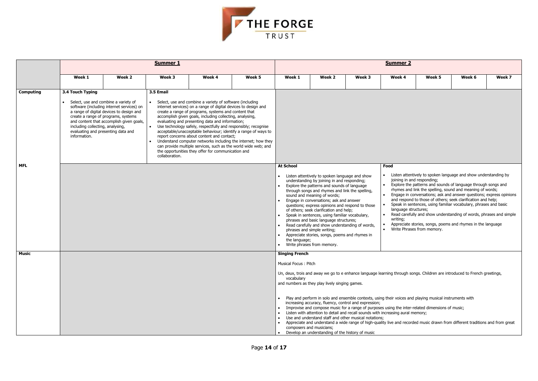| <b>Summer 2</b>                                                                                                                                                                                                                                                                                                                                                                                                                                                                                                                                                                                                                                                      |                                                     |                                                                           |        |  |  |  |  |  |  |
|----------------------------------------------------------------------------------------------------------------------------------------------------------------------------------------------------------------------------------------------------------------------------------------------------------------------------------------------------------------------------------------------------------------------------------------------------------------------------------------------------------------------------------------------------------------------------------------------------------------------------------------------------------------------|-----------------------------------------------------|---------------------------------------------------------------------------|--------|--|--|--|--|--|--|
| Week 4                                                                                                                                                                                                                                                                                                                                                                                                                                                                                                                                                                                                                                                               | Week 5                                              | Week 6                                                                    | Week 7 |  |  |  |  |  |  |
|                                                                                                                                                                                                                                                                                                                                                                                                                                                                                                                                                                                                                                                                      |                                                     |                                                                           |        |  |  |  |  |  |  |
| Food                                                                                                                                                                                                                                                                                                                                                                                                                                                                                                                                                                                                                                                                 |                                                     |                                                                           |        |  |  |  |  |  |  |
| Listen attentively to spoken language and show understanding by<br>$\bullet$<br>joining in and responding;<br>Explore the patterns and sounds of language through songs and<br>rhymes and link the spelling, sound and meaning of words;<br>Engage in conversations; ask and answer questions; express opinions<br>٠<br>and respond to those of others; seek clarification and help;<br>Speak in sentences, using familiar vocabulary, phrases and basic<br>language structures;<br>Read carefully and show understanding of words, phrases and simple<br>٠<br>writing;<br>Appreciate stories, songs, poems and rhymes in the language<br>Write Phrases from memory. |                                                     |                                                                           |        |  |  |  |  |  |  |
|                                                                                                                                                                                                                                                                                                                                                                                                                                                                                                                                                                                                                                                                      |                                                     | irning through songs. Children are introduced to French greetings,        |        |  |  |  |  |  |  |
|                                                                                                                                                                                                                                                                                                                                                                                                                                                                                                                                                                                                                                                                      | g their voices and playing musical instruments with |                                                                           |        |  |  |  |  |  |  |
| ncreasing aural memory;                                                                                                                                                                                                                                                                                                                                                                                                                                                                                                                                                                                                                                              | s using the inter-related dimensions of music;      |                                                                           |        |  |  |  |  |  |  |
|                                                                                                                                                                                                                                                                                                                                                                                                                                                                                                                                                                                                                                                                      |                                                     | ty live and recorded music drawn from different traditions and from great |        |  |  |  |  |  |  |
|                                                                                                                                                                                                                                                                                                                                                                                                                                                                                                                                                                                                                                                                      |                                                     |                                                                           |        |  |  |  |  |  |  |



|                  |                                                                                                                                                                                                                                                                                                                                                                                                                                                                                                                                                                                                                                                                                                                                                                                                                                                                                                                                                                                                                                                                |        | <b>Summer 1</b> |        | <b>Summer 2</b> |                                                                                                                                                                                                                                                                                                                                                                                                                                                                                                                                                                                                                                                                                                                                                                                                                                                                                                                                                                                                                                                                                                                                                                                                                                                                                                                                                                                                                      |                                                                                                                                                                                                                                                  |        |                                                                                                                                                                                                                                                                                                                                                                                                                                                                                                                                                                |        |        |        |  |
|------------------|----------------------------------------------------------------------------------------------------------------------------------------------------------------------------------------------------------------------------------------------------------------------------------------------------------------------------------------------------------------------------------------------------------------------------------------------------------------------------------------------------------------------------------------------------------------------------------------------------------------------------------------------------------------------------------------------------------------------------------------------------------------------------------------------------------------------------------------------------------------------------------------------------------------------------------------------------------------------------------------------------------------------------------------------------------------|--------|-----------------|--------|-----------------|----------------------------------------------------------------------------------------------------------------------------------------------------------------------------------------------------------------------------------------------------------------------------------------------------------------------------------------------------------------------------------------------------------------------------------------------------------------------------------------------------------------------------------------------------------------------------------------------------------------------------------------------------------------------------------------------------------------------------------------------------------------------------------------------------------------------------------------------------------------------------------------------------------------------------------------------------------------------------------------------------------------------------------------------------------------------------------------------------------------------------------------------------------------------------------------------------------------------------------------------------------------------------------------------------------------------------------------------------------------------------------------------------------------------|--------------------------------------------------------------------------------------------------------------------------------------------------------------------------------------------------------------------------------------------------|--------|----------------------------------------------------------------------------------------------------------------------------------------------------------------------------------------------------------------------------------------------------------------------------------------------------------------------------------------------------------------------------------------------------------------------------------------------------------------------------------------------------------------------------------------------------------------|--------|--------|--------|--|
|                  | Week 1                                                                                                                                                                                                                                                                                                                                                                                                                                                                                                                                                                                                                                                                                                                                                                                                                                                                                                                                                                                                                                                         | Week 2 | Week 3          | Week 4 | Week 5          | Week 1                                                                                                                                                                                                                                                                                                                                                                                                                                                                                                                                                                                                                                                                                                                                                                                                                                                                                                                                                                                                                                                                                                                                                                                                                                                                                                                                                                                                               | Week 2                                                                                                                                                                                                                                           | Week 3 | Week 4                                                                                                                                                                                                                                                                                                                                                                                                                                                                                                                                                         | Week 5 | Week 6 | Week 7 |  |
| <b>Computing</b> | 3.5 Email<br>3.4 Touch Typing<br>Select, use and combine a variety of<br>• Select, use and combine a variety of software (including<br>software (including internet services) on<br>internet services) on a range of digital devices to design and<br>a range of digital devices to design and<br>create a range of programs, systems and content that<br>create a range of programs, systems<br>accomplish given goals, including collecting, analysing,<br>and content that accomplish given goals,<br>evaluating and presenting data and information;<br>including collecting, analysing,<br>Use technology safely, respectfully and responsibly; recognise<br>$\bullet$<br>acceptable/unacceptable behaviour; identify a range of ways to<br>evaluating and presenting data and<br>information.<br>report concerns about content and contact;<br>• Understand computer networks including the internet; how they<br>can provide multiple services, such as the world wide web; and<br>the opportunities they offer for communication and<br>collaboration. |        |                 |        |                 |                                                                                                                                                                                                                                                                                                                                                                                                                                                                                                                                                                                                                                                                                                                                                                                                                                                                                                                                                                                                                                                                                                                                                                                                                                                                                                                                                                                                                      |                                                                                                                                                                                                                                                  |        |                                                                                                                                                                                                                                                                                                                                                                                                                                                                                                                                                                |        |        |        |  |
| <b>MFL</b>       |                                                                                                                                                                                                                                                                                                                                                                                                                                                                                                                                                                                                                                                                                                                                                                                                                                                                                                                                                                                                                                                                |        |                 |        |                 | <b>At School</b><br>Food<br>• Listen attentively to spoken language and show understanding by<br>Listen attentively to spoken language and show<br>$\bullet$<br>joining in and responding;<br>understanding by joining in and responding;<br>Explore the patterns and sounds of language through songs and<br>$\bullet$<br>Explore the patterns and sounds of language<br>rhymes and link the spelling, sound and meaning of words;<br>through songs and rhymes and link the spelling,<br>Engage in conversations; ask and answer questions; express opinions<br>sound and meaning of words;<br>and respond to those of others; seek clarification and help;<br>Engage in conversations; ask and answer<br>Speak in sentences, using familiar vocabulary, phrases and basic<br>$\bullet$<br>questions; express opinions and respond to those<br>language structures;<br>of others; seek clarification and help;<br>Read carefully and show understanding of words, phrases and simple<br>Speak in sentences, using familiar vocabulary,<br>writing;<br>phrases and basic language structures;<br>Appreciate stories, songs, poems and rhymes in the language<br>Read carefully and show understanding of words,<br>$\bullet$<br>Write Phrases from memory.<br>phrases and simple writing;<br>Appreciate stories, songs, poems and rhymes in<br>$\bullet$<br>the language;<br>Write phrases from memory.<br>$\bullet$ |                                                                                                                                                                                                                                                  |        |                                                                                                                                                                                                                                                                                                                                                                                                                                                                                                                                                                |        |        |        |  |
| <b>Music</b>     |                                                                                                                                                                                                                                                                                                                                                                                                                                                                                                                                                                                                                                                                                                                                                                                                                                                                                                                                                                                                                                                                |        |                 |        |                 | <b>Singing French</b><br>Musical Focus: Pitch<br>vocabulary                                                                                                                                                                                                                                                                                                                                                                                                                                                                                                                                                                                                                                                                                                                                                                                                                                                                                                                                                                                                                                                                                                                                                                                                                                                                                                                                                          | and numbers as they play lively singing games.<br>increasing accuracy, fluency, control and expression;<br>Use and understand staff and other musical notations;<br>composers and musicians;<br>Develop an understanding of the history of music |        | Un, deux, trois and away we go to e enhance language learning through songs. Children are introduced to French greetings,<br>Play and perform in solo and ensemble contexts, using their voices and playing musical instruments with<br>Improvise and compose music for a range of purposes using the inter-related dimensions of music;<br>Listen with attention to detail and recall sounds with increasing aural memory;<br>• Appreciate and understand a wide range of high-quality live and recorded music drawn from different traditions and from great |        |        |        |  |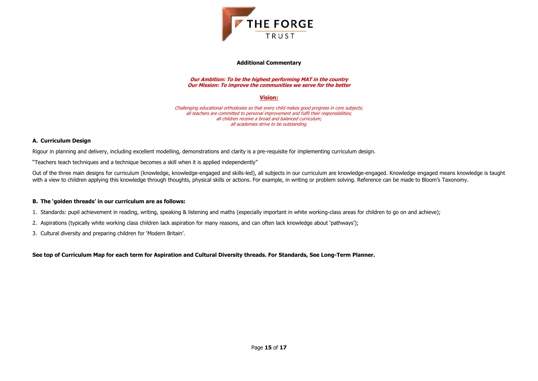

## **Additional Commentary**

**Our Ambition: To be the highest performing MAT in the country Our Mission: To improve the communities we serve for the better**

# **Vision:**

Challenging educational orthodoxies so that every child makes good progress in core subjects; all teachers are committed to personal improvement and fulfil their responsibilities; all children receive a broad and balanced curriculum; all academies strive to be outstanding.

Out of the three main designs for curriculum (knowledge, knowledge-engaged and skills-led), all subjects in our curriculum are knowledge-engaged. Knowledge engaged means knowledge is taught with a view to children applying this knowledge through thoughts, physical skills or actions. For example, in writing or problem solving. Reference can be made to Bloom's Taxonomy.

# **A. Curriculum Design**

Rigour in planning and delivery, including excellent modelling, demonstrations and clarity is a pre-requisite for implementing curriculum design.

"Teachers teach techniques and a technique becomes a skill when it is applied independently"

## **B. The 'golden threads' in our curriculum are as follows:**

- 1. Standards: pupil achievement in reading, writing, speaking & listening and maths (especially important in white working-class areas for children to go on and achieve);
- 2. Aspirations (typically white working class children lack aspiration for many reasons, and can often lack knowledge about 'pathways');
- 3. Cultural diversity and preparing children for 'Modern Britain'.

**See top of Curriculum Map for each term for Aspiration and Cultural Diversity threads. For Standards, See Long-Term Planner.**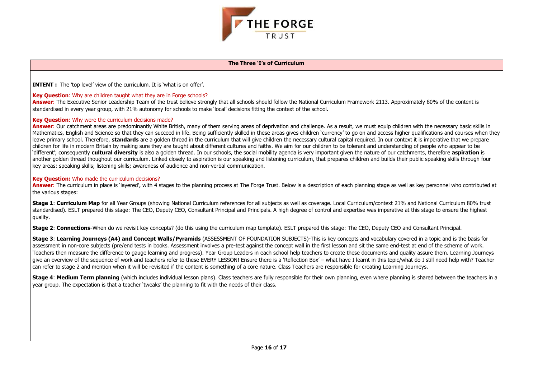

## **The Three 'I's of Curriculum**

**INTENT :** The 'top level' view of the curriculum. It is 'what is on offer'.

# **Key Question**: Why are children taught what they are in Forge schools?

Answer: The Executive Senior Leadership Team of the trust believe strongly that all schools should follow the National Curriculum Framework 2113. Approximately 80% of the content is standardised in every year group, with 21% autonomy for schools to make 'local' decisions fitting the context of the school.

# **Key Question**: Why were the curriculum decisions made?

Answer: Our catchment areas are predominantly White British, many of them serving areas of deprivation and challenge. As a result, we must equip children with the necessary basic skills in Mathematics, English and Science so that they can succeed in life. Being sufficiently skilled in these areas gives children 'currency' to go on and access higher qualifications and courses when they leave primary school. Therefore, **standards** are a golden thread in the curriculum that will give children the necessary cultural capital required. In our context it is imperative that we prepare children for life in modern Britain by making sure they are taught about different cultures and faiths. We aim for our children to be tolerant and understanding of people who appear to be 'different'; consequently **cultural diversity** is also a golden thread. In our schools, the social mobility agenda is very important given the nature of our catchments, therefore **aspiration** is another golden thread thoughout our curriculum. Linked closely to aspiration is our speaking and listening curriculum, that prepares children and builds their public speaking skills through four key areas: speaking skills; listening skills; awareness of audience and non-verbal communication.

Answer: The curriculum in place is 'layered', with 4 stages to the planning process at The Forge Trust. Below is a description of each planning stage as well as key personnel who contributed at the various stages:

Stage 1: Curriculum Map for all Year Groups (showing National Curriculum references for all subjects as well as coverage. Local Curriculum/context 21% and National Curriculum 80% trust standardised). ESLT prepared this stage: The CEO, Deputy CEO, Consultant Principal and Principals. A high degree of control and expertise was imperative at this stage to ensure the highest quality.

# **Key Question:** Who made the curriculum decisions?

**Stage 4: Medium Term planning** (which includes individual lesson plans). Class teachers are fully responsible for their own planning, even where planning is shared between the teachers in a year group. The expectation is that a teacher 'tweaks' the planning to fit with the needs of their class.

**Stage 2**: **Connections-**When do we revisit key concepts? (do this using the curriculum map template). ESLT prepared this stage: The CEO, Deputy CEO and Consultant Principal.

**Stage 3**: **Learning Journeys (A4) and Concept Walls/Pyramids** (ASSESSMENT OF FOUNDATION SUBJECTS)-This is key concepts and vocabulary covered in a topic and is the basis for assessment in non-core subjects (pre/end tests in books. Assessment involves a pre-test against the concept wall in the first lesson and sit the same end-test at end of the scheme of work. Teachers then measure the difference to gauge learning and progress). Year Group Leaders in each school help teachers to create these documents and quality assure them. Learning Journeys give an overview of the sequence of work and teachers refer to these EVERY LESSON! Ensure there is a 'Reflection Box' – what have I learnt in this topic/what do I still need help with? Teacher can refer to stage 2 and mention when it will be revisited if the content is something of a core nature. Class Teachers are responsible for creating Learning Journeys.